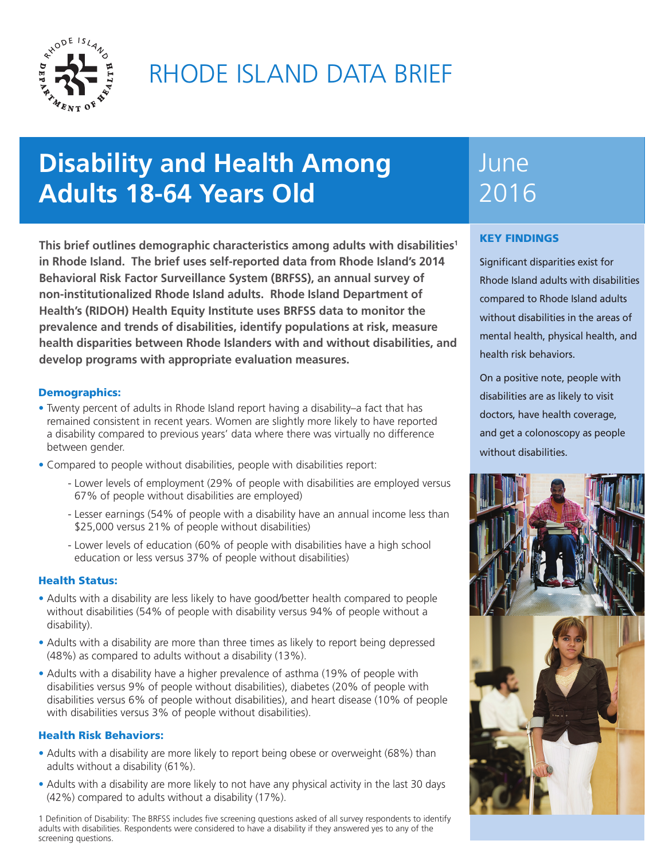

# RHODE ISLAND DATA BRIEF

# **Disability and Health Among Adults 18-64 Years Old**

**This brief outlines demographic characteristics among adults with disabilities1 in Rhode Island. The brief uses self-reported data from Rhode Island's 2014 Behavioral Risk Factor Surveillance System (BRFSS), an annual survey of non-institutionalized Rhode Island adults. Rhode Island Department of Health's (RIDOH) Health Equity Institute uses BRFSS data to monitor the prevalence and trends of disabilities, identify populations at risk, measure health disparities between Rhode Islanders with and without disabilities, and develop programs with appropriate evaluation measures.** 

# Demographics:

- Twenty percent of adults in Rhode Island report having a disability–a fact that has remained consistent in recent years. Women are slightly more likely to have reported a disability compared to previous years' data where there was virtually no difference between gender.
- Compared to people without disabilities, people with disabilities report:
	- Lower levels of employment (29% of people with disabilities are employed versus 67% of people without disabilities are employed)
	- Lesser earnings (54% of people with a disability have an annual income less than \$25,000 versus 21% of people without disabilities)
	- Lower levels of education (60% of people with disabilities have a high school education or less versus 37% of people without disabilities)

# Health Status:

- Adults with a disability are less likely to have good/better health compared to people without disabilities (54% of people with disability versus 94% of people without a disability).
- Adults with a disability are more than three times as likely to report being depressed (48%) as compared to adults without a disability (13%).
- Adults with a disability have a higher prevalence of asthma (19% of people with disabilities versus 9% of people without disabilities), diabetes (20% of people with disabilities versus 6% of people without disabilities), and heart disease (10% of people with disabilities versus 3% of people without disabilities).

## Health Risk Behaviors:

- Adults with a disability are more likely to report being obese or overweight (68%) than adults without a disability (61%).
- Adults with a disability are more likely to not have any physical activity in the last 30 days (42%) compared to adults without a disability (17%).

1 Definition of Disability: The BRFSS includes five screening questions asked of all survey respondents to identify adults with disabilities. Respondents were considered to have a disability if they answered yes to any of the screening questions.

# June 2016

# KEY FINDINGS

Significant disparities exist for Rhode Island adults with disabilities compared to Rhode Island adults without disabilities in the areas of mental health, physical health, and health risk behaviors.

On a positive note, people with disabilities are as likely to visit doctors, have health coverage, and get a colonoscopy as people without disabilities.

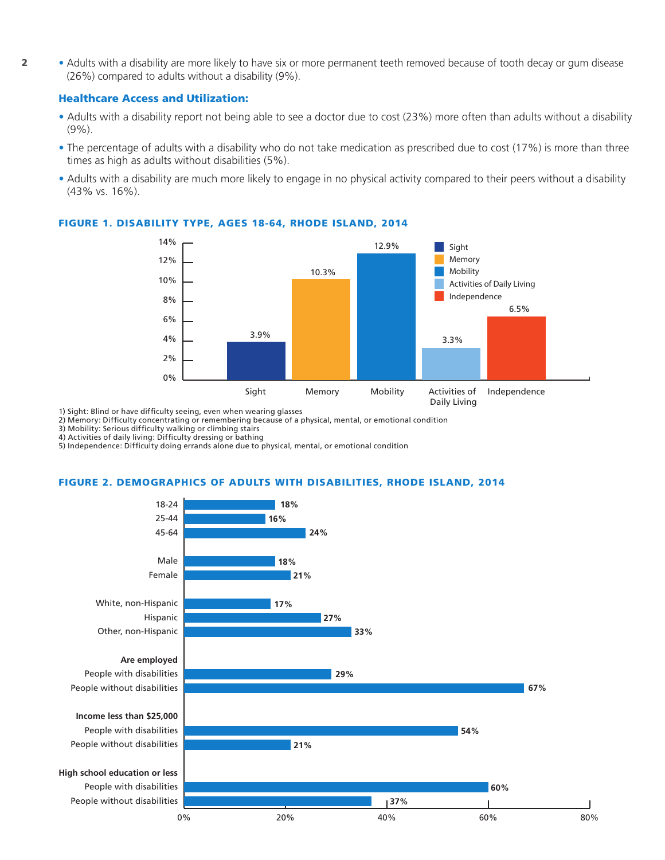**2** • Adults with a disability are more likely to have six or more permanent teeth removed because of tooth decay or gum disease (26%) compared to adults without a disability (9%).

### Healthcare Access and Utilization:

- Adults with a disability report not being able to see a doctor due to cost (23%) more often than adults without a disability (9%).
- The percentage of adults with a disability who do not take medication as prescribed due to cost (17%) is more than three times as high as adults without disabilities (5%).
- Adults with a disability are much more likely to engage in no physical activity compared to their peers without a disability (43% vs. 16%).



## FIGURE 1. DISABILITY TYPE, AGES 18-64, RHODE ISLAND, 2014

1) Sight: Blind or have difficulty seeing, even when wearing glasses

2) Memory: Difficulty concentrating or remembering because of a physical, mental, or emotional condition

3) Mobility: Serious difficulty walking or climbing stairs

4) Activities of daily living: Difficulty dressing or bathing

5) Independence: Difficulty doing errands alone due to physical, mental, or emotional condition

#### FIGURE 2. DEMOGRAPHICS OF ADULTS WITH DISABILITIES, RHODE ISLAND, 2014

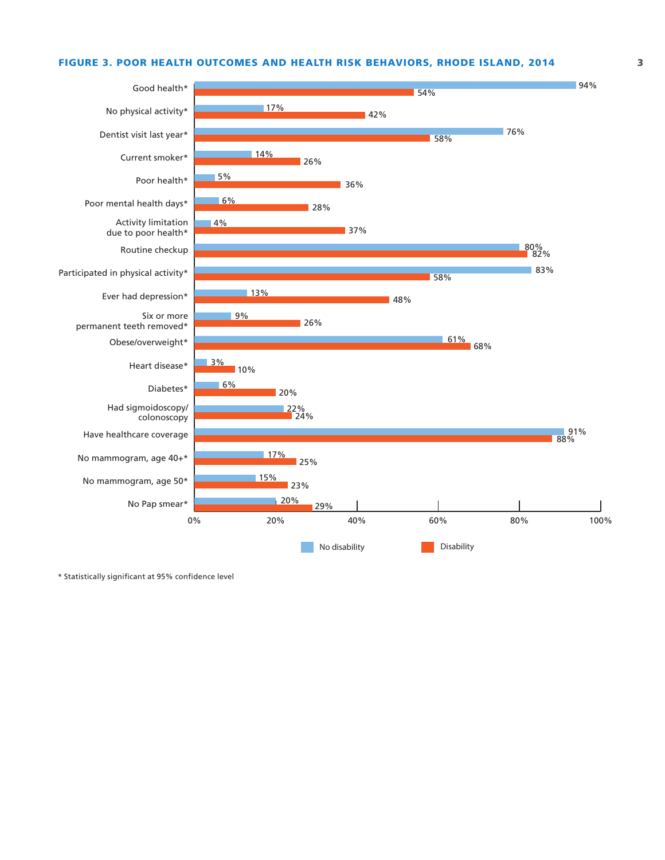### FIGURE 3. POOR HEALTH OUTCOMES AND HEALTH RISK BEHAVIORS, RHODE ISLAND, 2014 3



\* Statistically significant at 95% confidence level